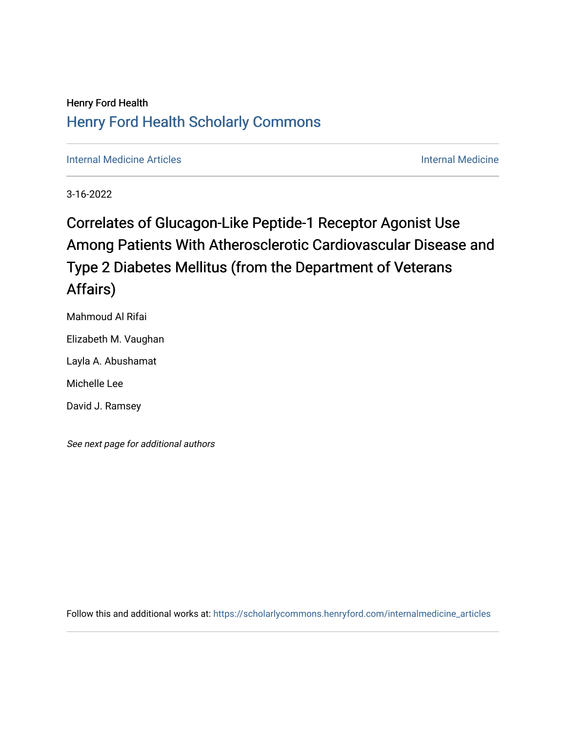### Henry Ford Health [Henry Ford Health Scholarly Commons](https://scholarlycommons.henryford.com/)

[Internal Medicine Articles](https://scholarlycommons.henryford.com/internalmedicine_articles) **Internal Medicine** 

3-16-2022

# Correlates of Glucagon-Like Peptide-1 Receptor Agonist Use Among Patients With Atherosclerotic Cardiovascular Disease and Type 2 Diabetes Mellitus (from the Department of Veterans Affairs)

Mahmoud Al Rifai Elizabeth M. Vaughan Layla A. Abushamat Michelle Lee David J. Ramsey

See next page for additional authors

Follow this and additional works at: [https://scholarlycommons.henryford.com/internalmedicine\\_articles](https://scholarlycommons.henryford.com/internalmedicine_articles?utm_source=scholarlycommons.henryford.com%2Finternalmedicine_articles%2F347&utm_medium=PDF&utm_campaign=PDFCoverPages)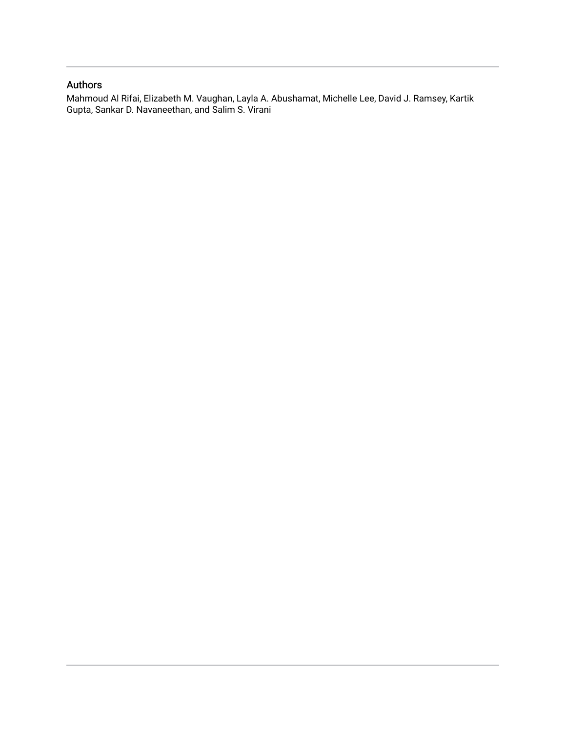### Authors

Mahmoud Al Rifai, Elizabeth M. Vaughan, Layla A. Abushamat, Michelle Lee, David J. Ramsey, Kartik Gupta, Sankar D. Navaneethan, and Salim S. Virani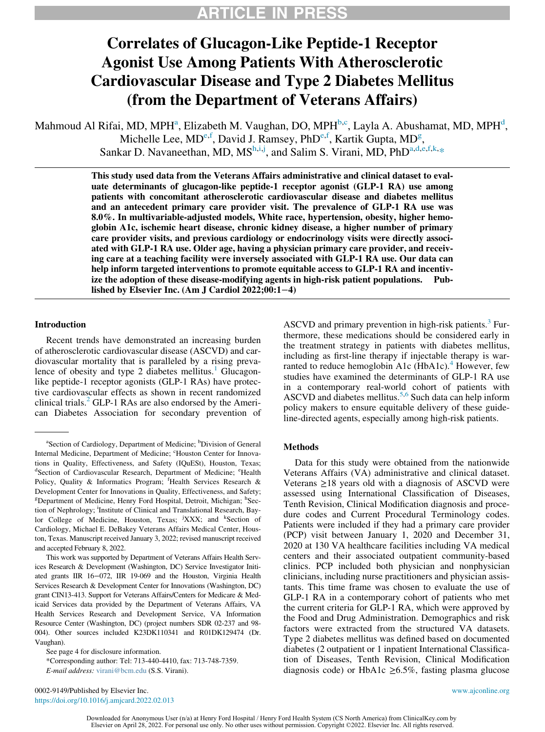# Correlates of Glucagon-Like Peptide-1 Receptor Agonist Use Among Patients With Atherosclerotic Cardiovascular Disease and Type 2 Diabetes Mellitus (from the Department of Veterans Affairs)

Mahmoud Al Rifai, MD, MPHª, Elizabeth M. Vaughan, DO, MPH $^{b,c}$ , Layla A. Abushamat, MD, MPH $^{d}$ , Michelle Lee, MD<sup>e,f</sup>, David J. Ramsey, PhD<sup>e,f</sup>, Kartik Gupta, MD<sup>g</sup>, Sankar D. Navaneethan, MD,  $MS<sup>h,i,j</sup>$ , and Salim S. Virani, MD, PhD<sup>a,d,e,f,k,\*</sup>

> This study used data from the Veterans Affairs administrative and clinical dataset to evaluate determinants of glucagon-like peptide-1 receptor agonist (GLP-1 RA) use among patients with concomitant atherosclerotic cardiovascular disease and diabetes mellitus and an antecedent primary care provider visit. The prevalence of GLP-1 RA use was 8.0%. In multivariable-adjusted models, White race, hypertension, obesity, higher hemoglobin A1c, ischemic heart disease, chronic kidney disease, a higher number of primary care provider visits, and previous cardiology or endocrinology visits were directly associated with GLP-1 RA use. Older age, having a physician primary care provider, and receiving care at a teaching facility were inversely associated with GLP-1 RA use. Our data can help inform targeted interventions to promote equitable access to GLP-1 RA and incentivize the adoption of these disease-modifying agents in high-risk patient populations. Published by Elsevier Inc. (Am J Cardiol 2022;00:1−4)

### Introduction

Recent trends have demonstrated an increasing burden of atherosclerotic cardiovascular disease (ASCVD) and cardiovascular mortality that is paralleled by a rising prevalence of obesity and type 2 diabetes mellitus. $\frac{1}{1}$  $\frac{1}{1}$  $\frac{1}{1}$  Glucagonlike peptide-1 receptor agonists (GLP-1 RAs) have protective cardiovascular effects as shown in recent randomized clinical trials. $^{2}$  $^{2}$  $^{2}$  GLP-1 RAs are also endorsed by the American Diabetes Association for secondary prevention of

This work was supported by Department of Veterans Affairs Health Services Research & Development (Washington, DC) Service Investigator Initiated grants IIR 16−072, IIR 19-069 and the Houston, Virginia Health Services Research & Development Center for Innovations (Washington, DC) grant CIN13-413. Support for Veterans Affairs/Centers for Medicare & Medicaid Services data provided by the Department of Veterans Affairs, VA Health Services Research and Development Service, VA Information Resource Center (Washington, DC) (project numbers SDR 02-237 and 98- 004). Other sources included K23DK110341 and R01DK129474 (Dr. Vaughan).

\*Corresponding author: Tel: 713-440-4410, fax: 713-748-7359. E-mail address: [virani@bcm.edu](mailto:virani@bcm.edu) (S.S. Virani).

ASCVD and primary prevention in high-risk patients. $3$  Furthermore, these medications should be considered early in the treatment strategy in patients with diabetes mellitus, including as first-line therapy if injectable therapy is war-ranted to reduce hemoglobin A1c (HbA1c).<sup>[4](#page-5-3)</sup> However, few studies have examined the determinants of GLP-1 RA use in a contemporary real-world cohort of patients with ASCVD and diabetes mellitus.<sup>[5](#page-5-4)[,6](#page-5-5)</sup> Such data can help inform policy makers to ensure equitable delivery of these guideline-directed agents, especially among high-risk patients.

#### Methods

Data for this study were obtained from the nationwide Veterans Affairs (VA) administrative and clinical dataset. Veterans  $\geq$ 18 years old with a diagnosis of ASCVD were assessed using International Classification of Diseases, Tenth Revision, Clinical Modification diagnosis and procedure codes and Current Procedural Terminology codes. Patients were included if they had a primary care provider (PCP) visit between January 1, 2020 and December 31, 2020 at 130 VA healthcare facilities including VA medical centers and their associated outpatient community-based clinics. PCP included both physician and nonphysician clinicians, including nurse practitioners and physician assistants. This time frame was chosen to evaluate the use of GLP-1 RA in a contemporary cohort of patients who met the current criteria for GLP-1 RA, which were approved by the Food and Drug Administration. Demographics and risk factors were extracted from the structured VA datasets. Type 2 diabetes mellitus was defined based on documented diabetes (2 outpatient or 1 inpatient International Classification of Diseases, Tenth Revision, Clinical Modification diagnosis code) or HbA1c  $\geq 6.5\%$ , fasting plasma glucose

0002-9149/Published by Elsevier Inc. <www.ajconline.org> <https://doi.org/10.1016/j.amjcard.2022.02.013>

<sup>&</sup>lt;sup>a</sup>Section of Cardiology, Department of Medicine; <sup>b</sup>Division of General Internal Medicine, Department of Medicine; <sup>c</sup>Houston Center for Innovations in Quality, Effectiveness, and Safety (IQuESt), Houston, Texas; <sup>d</sup>Section of Cardiovascular Research, Department of Medicine; <sup>e</sup>Health Policy, Quality & Informatics Program; <sup>f</sup>Health Services Research & Development Center for Innovations in Quality, Effectiveness, and Safety; <sup>g</sup>Department of Medicine, Henry Ford Hospital, Detroit, Michigan; <sup>h</sup>Section of Nephrology; <sup>i</sup>Institute of Clinical and Translational Research, Baylor College of Medicine, Houston, Texas; <sup>j</sup>XXX; and <sup>k</sup>Section of Cardiology, Michael E. DeBakey Veterans Affairs Medical Center, Houston, Texas. Manuscript received January 3, 2022; revised manuscript received and accepted February 8, 2022.

See page 4 for disclosure information.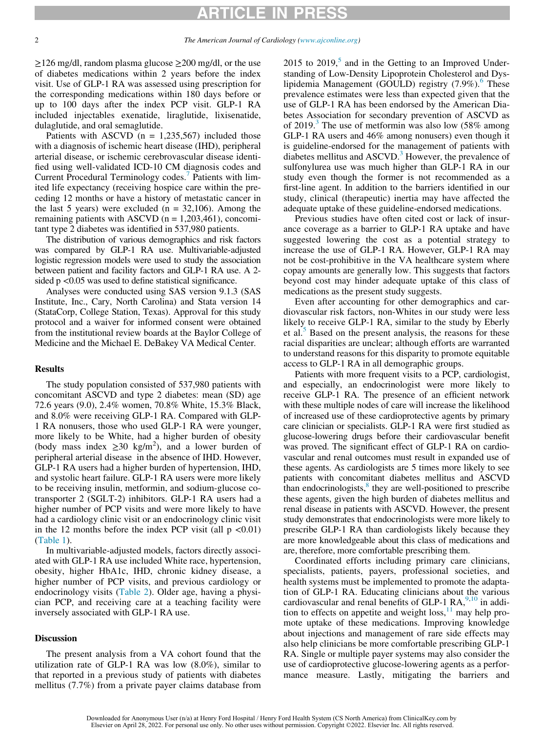### ARTICLE

 $\geq$ 126 mg/dl, random plasma glucose  $\geq$ 200 mg/dl, or the use of diabetes medications within 2 years before the index visit. Use of GLP-1 RA was assessed using prescription for the corresponding medications within 180 days before or up to 100 days after the index PCP visit. GLP-1 RA included injectables exenatide, liraglutide, lixisenatide, dulaglutide, and oral semaglutide.

Patients with ASCVD  $(n = 1,235,567)$  included those with a diagnosis of ischemic heart disease (IHD), peripheral arterial disease, or ischemic cerebrovascular disease identified using well-validated ICD-10 CM diagnosis codes and Current Procedural Terminology codes.<sup>[7](#page-5-6)</sup> Patients with limited life expectancy (receiving hospice care within the preceding 12 months or have a history of metastatic cancer in the last 5 years) were excluded  $(n = 32,106)$ . Among the remaining patients with ASCVD ( $n = 1,203,461$ ), concomitant type 2 diabetes was identified in 537,980 patients.

The distribution of various demographics and risk factors was compared by GLP-1 RA use. Multivariable-adjusted logistic regression models were used to study the association between patient and facility factors and GLP-1 RA use. A 2 sided  $p < 0.05$  was used to define statistical significance.

Analyses were conducted using SAS version 9.1.3 (SAS Institute, Inc., Cary, North Carolina) and Stata version 14 (StataCorp, College Station, Texas). Approval for this study protocol and a waiver for informed consent were obtained from the institutional review boards at the Baylor College of Medicine and the Michael E. DeBakey VA Medical Center.

#### Results

The study population consisted of 537,980 patients with concomitant ASCVD and type 2 diabetes: mean (SD) age 72.6 years (9.0), 2.4% women, 70.8% White, 15.3% Black, and 8.0% were receiving GLP-1 RA. Compared with GLP-1 RA nonusers, those who used GLP-1 RA were younger, more likely to be White, had a higher burden of obesity (body mass index  $\geq 30$  kg/m<sup>2</sup>), and a lower burden of peripheral arterial disease in the absence of IHD. However, GLP-1 RA users had a higher burden of hypertension, IHD, and systolic heart failure. GLP-1 RA users were more likely to be receiving insulin, metformin, and sodium-glucose cotransporter 2 (SGLT-2) inhibitors. GLP-1 RA users had a higher number of PCP visits and were more likely to have had a cardiology clinic visit or an endocrinology clinic visit in the 12 months before the index PCP visit (all  $p < 0.01$ ) [\(Table 1](#page-4-0)).

In multivariable-adjusted models, factors directly associated with GLP-1 RA use included White race, hypertension, obesity, higher HbA1c, IHD, chronic kidney disease, a higher number of PCP visits, and previous cardiology or endocrinology visits ([Table 2](#page-4-1)). Older age, having a physician PCP, and receiving care at a teaching facility were inversely associated with GLP-1 RA use.

#### Discussion

The present analysis from a VA cohort found that the utilization rate of GLP-1 RA was low (8.0%), similar to that reported in a previous study of patients with diabetes mellitus (7.7%) from a private payer claims database from 2015 to  $2019$ ,<sup>5</sup> and in the Getting to an Improved Understanding of Low-Density Lipoprotein Cholesterol and Dys-lipidemia Management (GOULD) registry (7.9%).<sup>[6](#page-5-5)</sup> These prevalence estimates were less than expected given that the use of GLP-1 RA has been endorsed by the American Diabetes Association for secondary prevention of ASCVD as of 2019.<sup>[3](#page-5-2)</sup> The use of metformin was also low  $(58\% \text{ among } 100)$ GLP-1 RA users and 46% among nonusers) even though it is guideline-endorsed for the management of patients with diabetes mellitus and  $ASCVD$ <sup>[3](#page-5-2)</sup> However, the prevalence of sulfonylurea use was much higher than GLP-1 RA in our study even though the former is not recommended as a first-line agent. In addition to the barriers identified in our study, clinical (therapeutic) inertia may have affected the adequate uptake of these guideline-endorsed medications.

Previous studies have often cited cost or lack of insurance coverage as a barrier to GLP-1 RA uptake and have suggested lowering the cost as a potential strategy to increase the use of GLP-1 RA. However, GLP-1 RA may not be cost-prohibitive in the VA healthcare system where copay amounts are generally low. This suggests that factors beyond cost may hinder adequate uptake of this class of medications as the present study suggests.

Even after accounting for other demographics and cardiovascular risk factors, non-Whites in our study were less likely to receive GLP-1 RA, similar to the study by Eberly et al.<sup>3</sup> Based on the present analysis, the reasons for these racial disparities are unclear; although efforts are warranted to understand reasons for this disparity to promote equitable access to GLP-1 RA in all demographic groups.

Patients with more frequent visits to a PCP, cardiologist, and especially, an endocrinologist were more likely to receive GLP-1 RA. The presence of an efficient network with these multiple nodes of care will increase the likelihood of increased use of these cardioprotective agents by primary care clinician or specialists. GLP-1 RA were first studied as glucose-lowering drugs before their cardiovascular benefit was proved. The significant effect of GLP-1 RA on cardiovascular and renal outcomes must result in expanded use of these agents. As cardiologists are 5 times more likely to see patients with concomitant diabetes mellitus and ASCVD than endocrinologists, $\frac{8}{3}$  $\frac{8}{3}$  $\frac{8}{3}$  they are well-positioned to prescribe these agents, given the high burden of diabetes mellitus and renal disease in patients with ASCVD. However, the present study demonstrates that endocrinologists were more likely to prescribe GLP-1 RA than cardiologists likely because they are more knowledgeable about this class of medications and are, therefore, more comfortable prescribing them.

Coordinated efforts including primary care clinicians, specialists, patients, payers, professional societies, and health systems must be implemented to promote the adaptation of GLP-1 RA. Educating clinicians about the various cardiovascular and renal benefits of GLP-1 RA,  $9,10$  $9,10$  in addition to effects on appetite and weight  $loss<sup>11</sup>$  $loss<sup>11</sup>$  $loss<sup>11</sup>$  may help promote uptake of these medications. Improving knowledge about injections and management of rare side effects may also help clinicians be more comfortable prescribing GLP-1 RA. Single or multiple payer systems may also consider the use of cardioprotective glucose-lowering agents as a performance measure. Lastly, mitigating the barriers and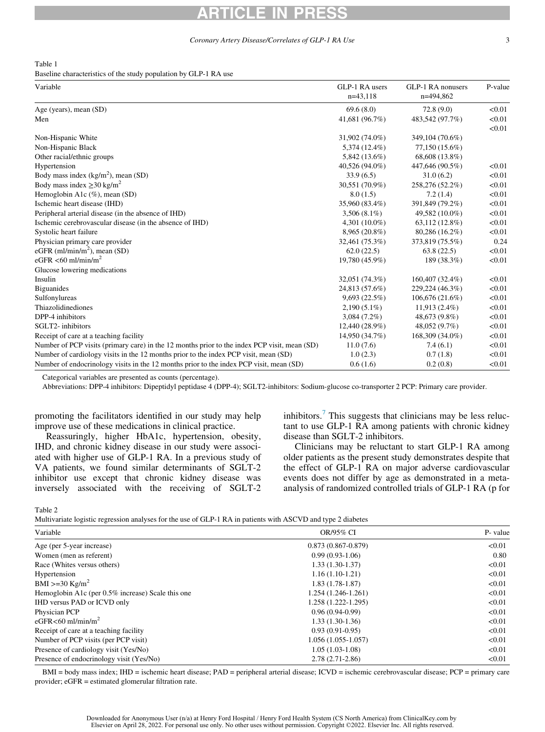# ARTICLE IN PRESS

#### Coronary Artery Disease/Correlates of GLP-1 RA Use 3

### <span id="page-4-0"></span>Table 1

Baseline characteristics of the study population by GLP-1 RA use

| Variable                                                                                     | GLP-1 RA users<br>$n=43,118$ | GLP-1 RA nonusers<br>n=494,862 | P-value |
|----------------------------------------------------------------------------------------------|------------------------------|--------------------------------|---------|
| Age (years), mean (SD)                                                                       | 69.6(8.0)                    | 72.8(9.0)                      | < 0.01  |
| Men                                                                                          | 41,681 (96.7%)               | 483,542 (97.7%)                | < 0.01  |
|                                                                                              |                              |                                | < 0.01  |
| Non-Hispanic White                                                                           | 31,902 (74.0%)               | 349,104 (70.6%)                |         |
| Non-Hispanic Black                                                                           | 5,374 (12.4%)                | 77,150 (15.6%)                 |         |
| Other racial/ethnic groups                                                                   | 5,842 (13.6%)                | 68,608 (13.8%)                 |         |
| Hypertension                                                                                 | 40,526 (94.0%)               | 447,646 (90.5%)                | < 0.01  |
| Body mass index $(kg/m2)$ , mean (SD)                                                        | 33.9(6.5)                    | 31.0(6.2)                      | < 0.01  |
| Body mass index $\geq$ 30 kg/m <sup>2</sup>                                                  | 30,551 (70.9%)               | 258,276 (52.2%)                | < 0.01  |
| Hemoglobin A1c (%), mean (SD)                                                                | 8.0(1.5)                     | 7.2(1.4)                       | < 0.01  |
| Ischemic heart disease (IHD)                                                                 | 35,960 (83.4%)               | 391,849 (79.2%)                | < 0.01  |
| Peripheral arterial disease (in the absence of IHD)                                          | $3,506(8.1\%)$               | 49,582 (10.0%)                 | < 0.01  |
| Ischemic cerebrovascular disease (in the absence of IHD)                                     | 4,301 $(10.0\%)$             | 63,112 (12.8%)                 | < 0.01  |
| Systolic heart failure                                                                       | 8,965 (20.8%)                | 80,286 (16.2%)                 | < 0.01  |
| Physician primary care provider                                                              | 32,461 (75.3%)               | 373,819 (75.5%)                | 0.24    |
| eGFR (ml/min/m <sup>2</sup> ), mean (SD)                                                     | 62.0(22.5)                   | 63.8(22.5)                     | < 0.01  |
| eGFR <60 ml/min/m <sup>2</sup>                                                               | 19,780 (45.9%)               | 189 (38.3%)                    | < 0.01  |
| Glucose lowering medications                                                                 |                              |                                |         |
| Insulin                                                                                      | 32,051 (74.3%)               | 160,407 (32.4%)                | < 0.01  |
| <b>Biguanides</b>                                                                            | 24,813 (57.6%)               | 229,224 (46.3%)                | < 0.01  |
| Sulfonylureas                                                                                | 9,693(22.5%)                 | 106,676 (21.6%)                | < 0.01  |
| Thiazolidinediones                                                                           | $2,190(5.1\%)$               | 11,913 (2.4%)                  | < 0.01  |
| DPP-4 inhibitors                                                                             | $3,084(7.2\%)$               | 48,673 (9.8%)                  | < 0.01  |
| SGLT2-inhibitors                                                                             | 12,440 (28.9%)               | 48,052 (9.7%)                  | < 0.01  |
| Receipt of care at a teaching facility                                                       | 14,950 (34.7%)               | 168,309 (34.0%)                | < 0.01  |
| Number of PCP visits (primary care) in the 12 months prior to the index PCP visit, mean (SD) | 11.0(7.6)                    | 7.4(6.1)                       | < 0.01  |
| Number of cardiology visits in the 12 months prior to the index PCP visit, mean (SD)         | 1.0(2.3)                     | 0.7(1.8)                       | < 0.01  |
| Number of endocrinology visits in the 12 months prior to the index PCP visit, mean (SD)      | 0.6(1.6)                     | 0.2(0.8)                       | < 0.01  |

Categorical variables are presented as counts (percentage).

Abbreviations: DPP-4 inhibitors: Dipeptidyl peptidase 4 (DPP-4); SGLT2-inhibitors: Sodium-glucose co-transporter 2 PCP: Primary care provider.

promoting the facilitators identified in our study may help improve use of these medications in clinical practice.

Reassuringly, higher HbA1c, hypertension, obesity, IHD, and chronic kidney disease in our study were associated with higher use of GLP-1 RA. In a previous study of VA patients, we found similar determinants of SGLT-2 inhibitor use except that chronic kidney disease was inversely associated with the receiving of SGLT-2 inhibitors.<sup>[7](#page-5-6)</sup> This suggests that clinicians may be less reluctant to use GLP-1 RA among patients with chronic kidney disease than SGLT-2 inhibitors.

Clinicians may be reluctant to start GLP-1 RA among older patients as the present study demonstrates despite that the effect of GLP-1 RA on major adverse cardiovascular events does not differ by age as demonstrated in a metaanalysis of randomized controlled trials of GLP-1 RA (p for

<span id="page-4-1"></span>Table 2

Multivariate logistic regression analyses for the use of GLP-1 RA in patients with ASCVD and type 2 diabetes

| OR/95% CI              | P- value |  |
|------------------------|----------|--|
| $0.873(0.867 - 0.879)$ | < 0.01   |  |
| $0.99(0.93-1.06)$      | 0.80     |  |
| $1.33(1.30-1.37)$      | < 0.01   |  |
| $1.16(1.10-1.21)$      | < 0.01   |  |
| $1.83(1.78-1.87)$      | < 0.01   |  |
| 1.254 (1.246-1.261)    | < 0.01   |  |
| 1.258 (1.222-1.295)    | < 0.01   |  |
| $0.96(0.94-0.99)$      | < 0.01   |  |
| $1.33(1.30-1.36)$      | < 0.01   |  |
| $0.93(0.91-0.95)$      | < 0.01   |  |
| 1.056 (1.055-1.057)    | < 0.01   |  |
| $1.05(1.03-1.08)$      | < 0.01   |  |
| $2.78(2.71-2.86)$      | < 0.01   |  |
|                        |          |  |

BMI = body mass index; IHD = ischemic heart disease; PAD = peripheral arterial disease; ICVD = ischemic cerebrovascular disease; PCP = primary care provider; eGFR = estimated glomerular filtration rate.